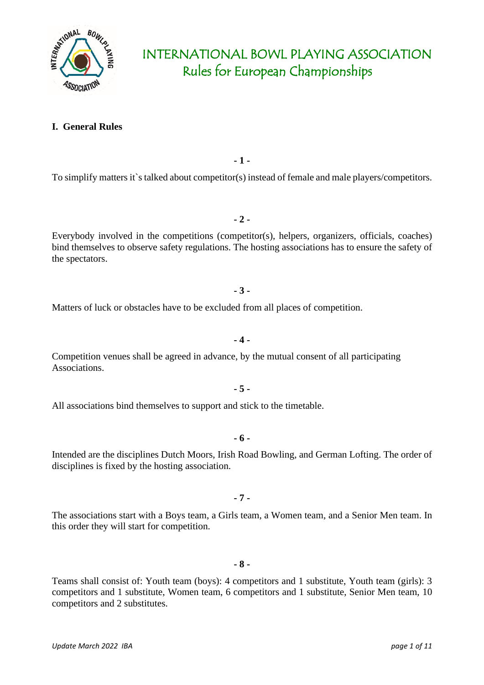

### **I. General Rules**

**- 1 -**

To simplify matters it`s talked about competitor(s) instead of female and male players/competitors.

Everybody involved in the competitions (competitor(s), helpers, organizers, officials, coaches) bind themselves to observe safety regulations. The hosting associations has to ensure the safety of the spectators.

**- 2 -**

#### **- 3 -**

**- 4 -**

Matters of luck or obstacles have to be excluded from all places of competition.

Competition venues shall be agreed in advance, by the mutual consent of all participating Associations.

**- 5 -**

All associations bind themselves to support and stick to the timetable.

**- 6 -**

Intended are the disciplines Dutch Moors, Irish Road Bowling, and German Lofting. The order of disciplines is fixed by the hosting association.

**- 7 -**

The associations start with a Boys team, a Girls team, a Women team, and a Senior Men team. In this order they will start for competition.

#### **- 8 -**

Teams shall consist of: Youth team (boys): 4 competitors and 1 substitute, Youth team (girls): 3 competitors and 1 substitute, Women team, 6 competitors and 1 substitute, Senior Men team, 10 competitors and 2 substitutes.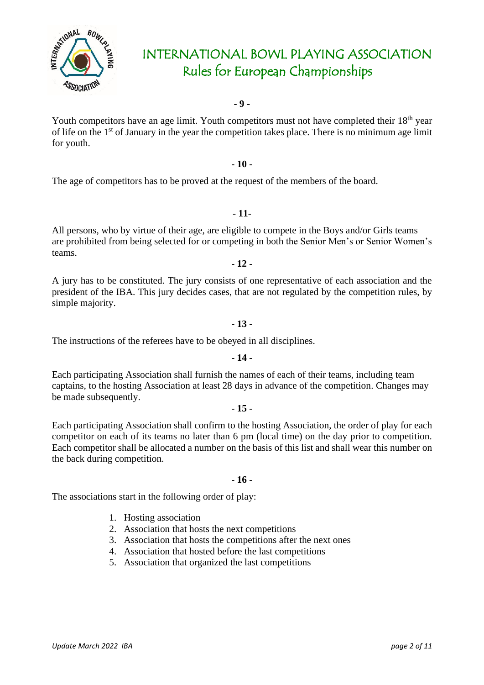

**- 9 -**

Youth competitors have an age limit. Youth competitors must not have completed their 18<sup>th</sup> year of life on the 1st of January in the year the competition takes place. There is no minimum age limit for youth.

#### **- 10 -**

The age of competitors has to be proved at the request of the members of the board.

#### **- 11-**

All persons, who by virtue of their age, are eligible to compete in the Boys and/or Girls teams are prohibited from being selected for or competing in both the Senior Men's or Senior Women's teams.

**- 12 -**

A jury has to be constituted. The jury consists of one representative of each association and the president of the IBA. This jury decides cases, that are not regulated by the competition rules, by simple majority.

#### **- 13 -**

The instructions of the referees have to be obeyed in all disciplines.

#### **- 14 -**

Each participating Association shall furnish the names of each of their teams, including team captains, to the hosting Association at least 28 days in advance of the competition. Changes may be made subsequently.

#### **- 15 -**

Each participating Association shall confirm to the hosting Association, the order of play for each competitor on each of its teams no later than 6 pm (local time) on the day prior to competition. Each competitor shall be allocated a number on the basis of this list and shall wear this number on the back during competition.

#### **- 16 -**

The associations start in the following order of play:

- 1. Hosting association
- 2. Association that hosts the next competitions
- 3. Association that hosts the competitions after the next ones
- 4. Association that hosted before the last competitions
- 5. Association that organized the last competitions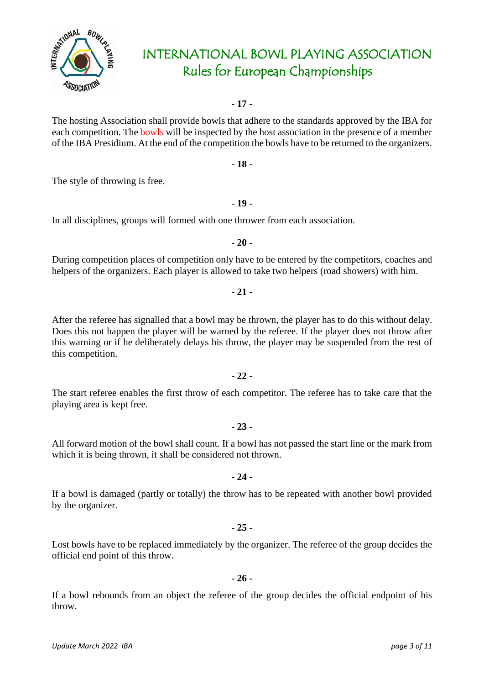

**- 17 -**

The hosting Association shall provide bowls that adhere to the standards approved by the IBA for each competition. The **bowls** will be inspected by the host association in the presence of a member of the IBA Presidium. At the end of the competition the bowls have to be returned to the organizers.

**- 18 -**

**- 19 -**

The style of throwing is free.

In all disciplines, groups will formed with one thrower from each association.

During competition places of competition only have to be entered by the competitors, coaches and helpers of the organizers. Each player is allowed to take two helpers (road showers) with him.

**- 20 -**

After the referee has signalled that a bowl may be thrown, the player has to do this without delay. Does this not happen the player will be warned by the referee. If the player does not throw after this warning or if he deliberately delays his throw, the player may be suspended from the rest of this competition.

The start referee enables the first throw of each competitor. The referee has to take care that the playing area is kept free.

All forward motion of the bowl shall count. If a bowl has not passed the start line or the mark from which it is being thrown, it shall be considered not thrown.

**- 23 -**

**- 24 -**

If a bowl is damaged (partly or totally) the throw has to be repeated with another bowl provided by the organizer.

**- 25 -**

Lost bowls have to be replaced immediately by the organizer. The referee of the group decides the official end point of this throw.

**- 26 -**

If a bowl rebounds from an object the referee of the group decides the official endpoint of his throw.



### **- 21 -**

#### **- 22 -**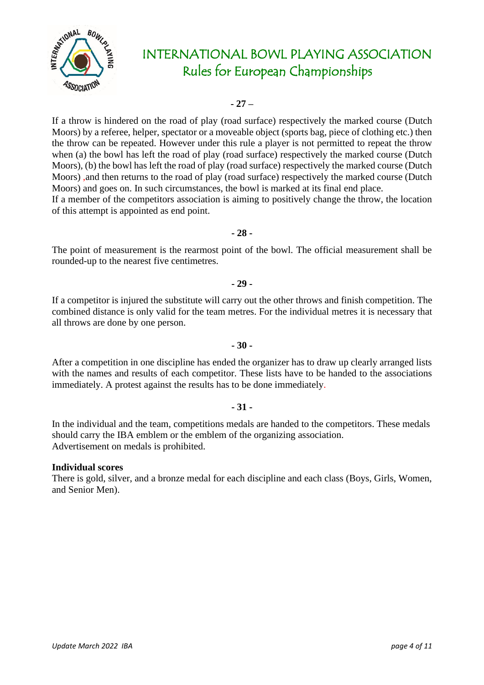

**- 27 –**

If a throw is hindered on the road of play (road surface) respectively the marked course (Dutch Moors) by a referee, helper, spectator or a moveable object (sports bag, piece of clothing etc.) then the throw can be repeated. However under this rule a player is not permitted to repeat the throw when (a) the bowl has left the road of play (road surface) respectively the marked course (Dutch Moors), (b) the bowl has left the road of play (road surface) respectively the marked course (Dutch Moors) ,and then returns to the road of play (road surface) respectively the marked course (Dutch Moors) and goes on. In such circumstances, the bowl is marked at its final end place.

If a member of the competitors association is aiming to positively change the throw, the location of this attempt is appointed as end point.

**- 28 -**

The point of measurement is the rearmost point of the bowl. The official measurement shall be rounded-up to the nearest five centimetres.

**- 29 -**

If a competitor is injured the substitute will carry out the other throws and finish competition. The combined distance is only valid for the team metres. For the individual metres it is necessary that all throws are done by one person.

#### **- 30 -**

After a competition in one discipline has ended the organizer has to draw up clearly arranged lists with the names and results of each competitor. These lists have to be handed to the associations immediately. A protest against the results has to be done immediately.

#### **- 31 -**

In the individual and the team, competitions medals are handed to the competitors. These medals should carry the IBA emblem or the emblem of the organizing association. Advertisement on medals is prohibited.

#### **Individual scores**

There is gold, silver, and a bronze medal for each discipline and each class (Boys, Girls, Women, and Senior Men).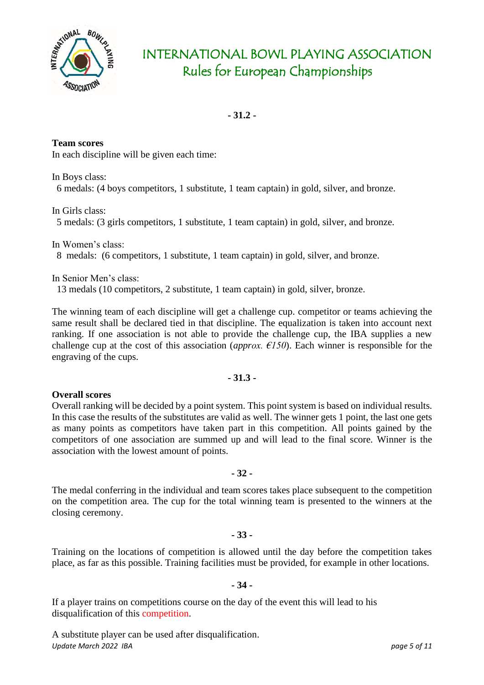

**- 31.2 -**

**Team scores** In each discipline will be given each time:

In Boys class: 6 medals: (4 boys competitors, 1 substitute, 1 team captain) in gold, silver, and bronze.

In Girls class:

5 medals: (3 girls competitors, 1 substitute, 1 team captain) in gold, silver, and bronze.

In Women's class: 8 medals: (6 competitors, 1 substitute, 1 team captain) in gold, silver, and bronze.

In Senior Men's class:

13 medals (10 competitors, 2 substitute, 1 team captain) in gold, silver, bronze.

The winning team of each discipline will get a challenge cup. competitor or teams achieving the same result shall be declared tied in that discipline. The equalization is taken into account next ranking. If one association is not able to provide the challenge cup, the IBA supplies a new challenge cup at the cost of this association (*approx. €150*). Each winner is responsible for the engraving of the cups.

### **- 31.3 -**

#### **Overall scores**

Overall ranking will be decided by a point system. This point system is based on individual results. In this case the results of the substitutes are valid as well. The winner gets 1 point, the last one gets as many points as competitors have taken part in this competition. All points gained by the competitors of one association are summed up and will lead to the final score. Winner is the association with the lowest amount of points.

**- 32 -**

The medal conferring in the individual and team scores takes place subsequent to the competition on the competition area. The cup for the total winning team is presented to the winners at the closing ceremony.

#### **- 33 -**

Training on the locations of competition is allowed until the day before the competition takes place, as far as this possible. Training facilities must be provided, for example in other locations.

#### **- 34 -**

If a player trains on competitions course on the day of the event this will lead to his disqualification of this competition.

*Update March 2022 IBA page 5 of 11* A substitute player can be used after disqualification.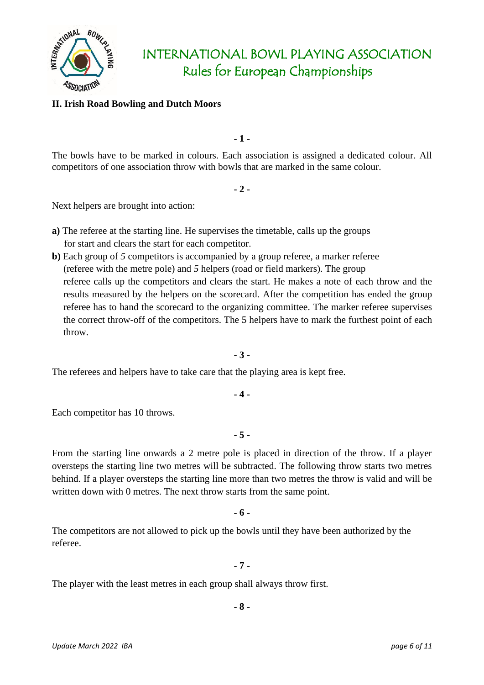

#### **II. Irish Road Bowling and Dutch Moors**

**- 1 -**

The bowls have to be marked in colours. Each association is assigned a dedicated colour. All competitors of one association throw with bowls that are marked in the same colour.

**- 2 -**

Next helpers are brought into action:

- **a)** The referee at the starting line. He supervises the timetable, calls up the groups for start and clears the start for each competitor.
- **b)** Each group of *5* competitors is accompanied by a group referee, a marker referee (referee with the metre pole) and *5* helpers (road or field markers). The group referee calls up the competitors and clears the start. He makes a note of each throw and the results measured by the helpers on the scorecard. After the competition has ended the group referee has to hand the scorecard to the organizing committee. The marker referee supervises the correct throw-off of the competitors. The 5 helpers have to mark the furthest point of each throw.

**- 3 -**

The referees and helpers have to take care that the playing area is kept free.

**- 4 -**

Each competitor has 10 throws.

**- 5 -**

From the starting line onwards a 2 metre pole is placed in direction of the throw. If a player oversteps the starting line two metres will be subtracted. The following throw starts two metres behind. If a player oversteps the starting line more than two metres the throw is valid and will be written down with 0 metres. The next throw starts from the same point.

**- 6 -**

The competitors are not allowed to pick up the bowls until they have been authorized by the referee.

**- 7 -**

The player with the least metres in each group shall always throw first.

**- 8 -**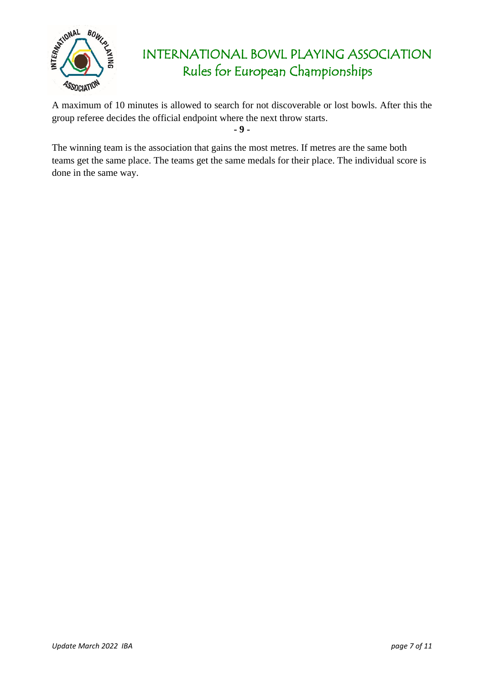

A maximum of 10 minutes is allowed to search for not discoverable or lost bowls. After this the group referee decides the official endpoint where the next throw starts.

**- 9 -**

The winning team is the association that gains the most metres. If metres are the same both teams get the same place. The teams get the same medals for their place. The individual score is done in the same way.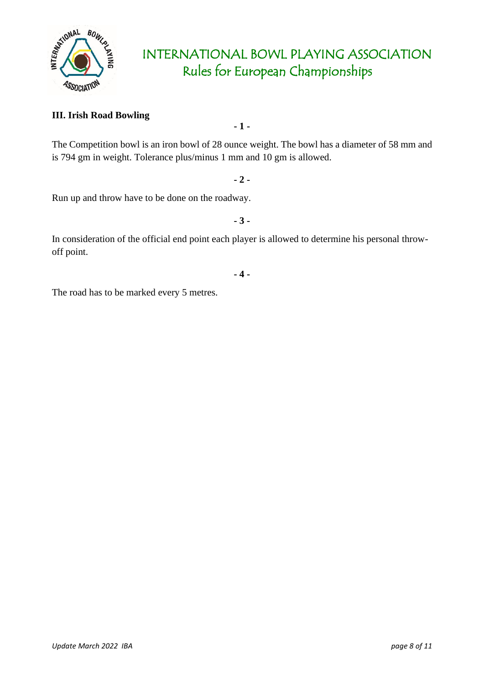

### **III. Irish Road Bowling**

The Competition bowl is an iron bowl of 28 ounce weight. The bowl has a diameter of 58 mm and is 794 gm in weight. Tolerance plus/minus 1 mm and 10 gm is allowed.

**- 1 -**

**- 2 -**

Run up and throw have to be done on the roadway.

**- 3 -**

In consideration of the official end point each player is allowed to determine his personal throwoff point.

**- 4 -**

The road has to be marked every 5 metres.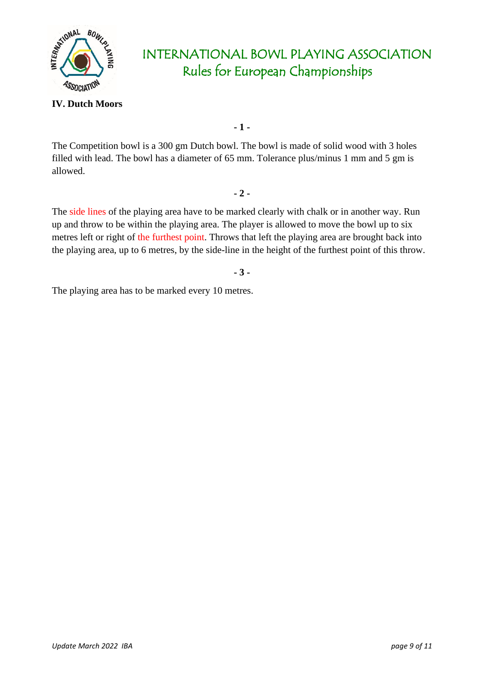

### **IV. Dutch Moors**

**- 1 -**

The Competition bowl is a 300 gm Dutch bowl. The bowl is made of solid wood with 3 holes filled with lead. The bowl has a diameter of 65 mm. Tolerance plus/minus 1 mm and 5 gm is allowed.

#### **- 2 -**

The side lines of the playing area have to be marked clearly with chalk or in another way. Run up and throw to be within the playing area. The player is allowed to move the bowl up to six metres left or right of the furthest point. Throws that left the playing area are brought back into the playing area, up to 6 metres, by the side-line in the height of the furthest point of this throw.

**- 3 -**

The playing area has to be marked every 10 metres.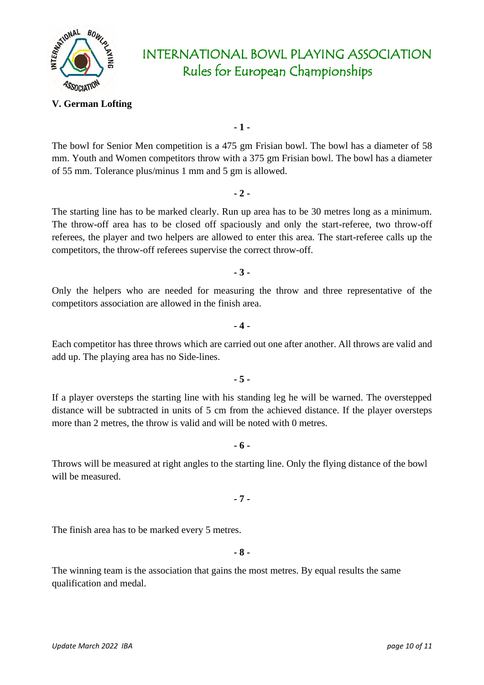

#### **V. German Lofting**

**- 1 -**

The bowl for Senior Men competition is a 475 gm Frisian bowl. The bowl has a diameter of 58 mm. Youth and Women competitors throw with a 375 gm Frisian bowl. The bowl has a diameter of 55 mm. Tolerance plus/minus 1 mm and 5 gm is allowed.

**- 2 -**

The starting line has to be marked clearly. Run up area has to be 30 metres long as a minimum. The throw-off area has to be closed off spaciously and only the start-referee, two throw-off referees, the player and two helpers are allowed to enter this area. The start-referee calls up the competitors, the throw-off referees supervise the correct throw-off.

**- 3 -**

Only the helpers who are needed for measuring the throw and three representative of the competitors association are allowed in the finish area.

#### **- 4 -**

Each competitor has three throws which are carried out one after another. All throws are valid and add up. The playing area has no Side-lines.

### **- 5 -**

If a player oversteps the starting line with his standing leg he will be warned. The overstepped distance will be subtracted in units of 5 cm from the achieved distance. If the player oversteps more than 2 metres, the throw is valid and will be noted with 0 metres.

### **- 6 -**

Throws will be measured at right angles to the starting line. Only the flying distance of the bowl will be measured.

**- 7 -**

The finish area has to be marked every 5 metres.

**- 8 -**

The winning team is the association that gains the most metres. By equal results the same qualification and medal.